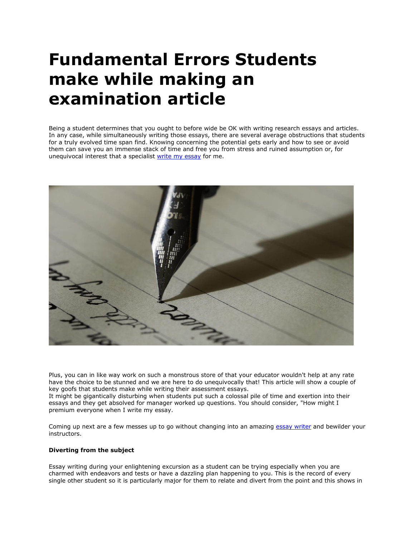# **Fundamental Errors Students make while making an examination article**

Being a student determines that you ought to before wide be OK with writing research essays and articles. In any case, while simultaneously writing those essays, there are several average obstructions that students for a truly evolved time span find. Knowing concerning the potential gets early and how to see or avoid them can save you an immense stack of time and free you from stress and ruined assumption or, for unequivocal interest that a specialist [write my essay](https://writemyessayfast.net/) for me.



Plus, you can in like way work on such a monstrous store of that your educator wouldn't help at any rate have the choice to be stunned and we are here to do unequivocally that! This article will show a couple of key goofs that students make while writing their assessment essays. It might be gigantically disturbing when students put such a colossal pile of time and exertion into their essays and they get absolved for manager worked up questions. You should consider, "How might I premium everyone when I write my essay.

Coming up next are a few messes up to go without changing into an amazing [essay writer](https://essayhours.com/) and bewilder your instructors.

# **Diverting from the subject**

Essay writing during your enlightening excursion as a student can be trying especially when you are charmed with endeavors and tests or have a dazzling plan happening to you. This is the record of every single other student so it is particularly major for them to relate and divert from the point and this shows in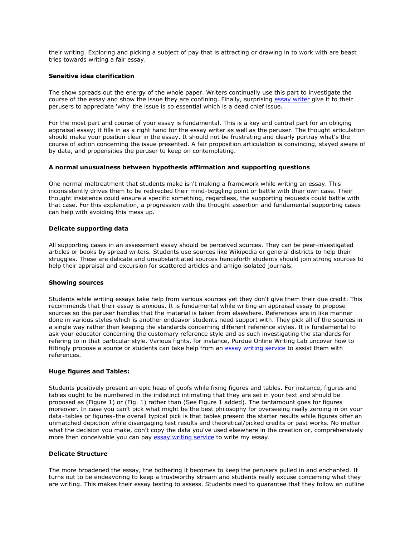their writing. Exploring and picking a subject of pay that is attracting or drawing in to work with are beast tries towards writing a fair essay.

### **Sensitive idea clarification**

The show spreads out the energy of the whole paper. Writers continually use this part to investigate the course of the essay and show the issue they are confining. Finally, surprising [essay writer](https://essaywriternow.com/) give it to their perusers to appreciate 'why' the issue is so essential which is a dead chief issue.

For the most part and course of your essay is fundamental. This is a key and central part for an obliging appraisal essay; it fills in as a right hand for the essay writer as well as the peruser. The thought articulation should make your position clear in the essay. It should not be frustrating and clearly portray what's the course of action concerning the issue presented. A fair proposition articulation is convincing, stayed aware of by data, and propensities the peruser to keep on contemplating.

# **A normal unusualness between hypothesis affirmation and supporting questions**

One normal maltreatment that students make isn't making a framework while writing an essay. This inconsistently drives them to be redirected their mind-boggling point or battle with their own case. Their thought insistence could ensure a specific something, regardless, the supporting requests could battle with that case. For this explanation, a progression with the thought assertion and fundamental supporting cases can help with avoiding this mess up.

# **Delicate supporting data**

All supporting cases in an assessment essay should be perceived sources. They can be peer-investigated articles or books by spread writers. Students use sources like Wikipedia or general districts to help their struggles. These are delicate and unsubstantiated sources henceforth students should join strong sources to help their appraisal and excursion for scattered articles and amigo isolated journals.

### **Showing sources**

Students while writing essays take help from various sources yet they don't give them their due credit. This recommends that their essay is anxious. It is fundamental while writing an appraisal essay to propose sources so the peruser handles that the material is taken from elsewhere. References are in like manner done in various styles which is another endeavor students need support with. They pick all of the sources in a single way rather than keeping the standards concerning different reference styles. It is fundamental to ask your educator concerning the customary reference style and as such investigating the standards for refering to in that particular style. Various fights, for instance, Purdue Online Writing Lab uncover how to fittingly propose a source or students can take help from an [essay writing service](https://www.essaywritingservice.college/) to assist them with references.

#### **Huge figures and Tables:**

Students positively present an epic heap of goofs while fixing figures and tables. For instance, figures and tables ought to be numbered in the indistinct intimating that they are set in your text and should be proposed as (Figure 1) or (Fig. 1) rather than (See Figure 1 added). The tantamount goes for figures moreover. In case you can't pick what might be the best philosophy for overseeing really zeroing in on your data-tables or figures-the overall typical pick is that tables present the starter results while figures offer an unmatched depiction while disengaging test results and theoretical/picked credits or past works. No matter what the decision you make, don't copy the data you've used elsewhere in the creation or, comprehensively more then conceivable you can pay [essay writing service](http://sharkpapers.com/) to write my essay.

#### **Delicate Structure**

The more broadened the essay, the bothering it becomes to keep the perusers pulled in and enchanted. It turns out to be endeavoring to keep a trustworthy stream and students really excuse concerning what they are writing. This makes their essay testing to assess. Students need to guarantee that they follow an outline